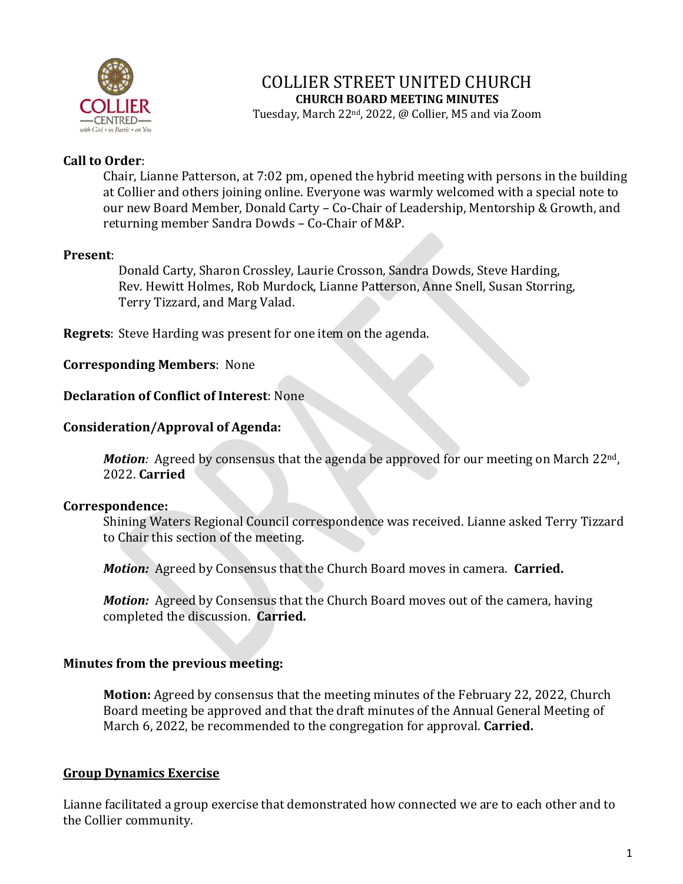

### COLLIER STREET UNITED CHURCH **CHURCH BOARD MEETING MINUTES**

Tuesday, March 22nd, 2022, @ Collier, M5 and via Zoom

### **Call to Order**:

Chair, Lianne Patterson, at 7:02 pm, opened the hybrid meeting with persons in the building at Collier and others joining online. Everyone was warmly welcomed with a special note to our new Board Member, Donald Carty – Co-Chair of Leadership, Mentorship & Growth, and returning member Sandra Dowds – Co-Chair of M&P.

### **Present**:

Donald Carty, Sharon Crossley, Laurie Crosson, Sandra Dowds, Steve Harding, Rev. Hewitt Holmes, Rob Murdock, Lianne Patterson, Anne Snell, Susan Storring, Terry Tizzard, and Marg Valad.

**Regrets**: Steve Harding was present for one item on the agenda.

#### **Corresponding Members**: None

#### **Declaration of Conflict of Interest**: None

#### **Consideration/Approval of Agenda:**

*Motion:* Agreed by consensus that the agenda be approved for our meeting on March 22<sup>nd</sup>, 2022. **Carried**

#### **Correspondence:**

Shining Waters Regional Council correspondence was received. Lianne asked Terry Tizzard to Chair this section of the meeting.

*Motion:* Agreed by Consensus that the Church Board moves in camera. **Carried.**

*Motion:* Agreed by Consensus that the Church Board moves out of the camera, having completed the discussion. **Carried.**

#### **Minutes from the previous meeting:**

**Motion:** Agreed by consensus that the meeting minutes of the February 22, 2022, Church Board meeting be approved and that the draft minutes of the Annual General Meeting of March 6, 2022, be recommended to the congregation for approval. **Carried.**

#### **Group Dynamics Exercise**

Lianne facilitated a group exercise that demonstrated how connected we are to each other and to the Collier community.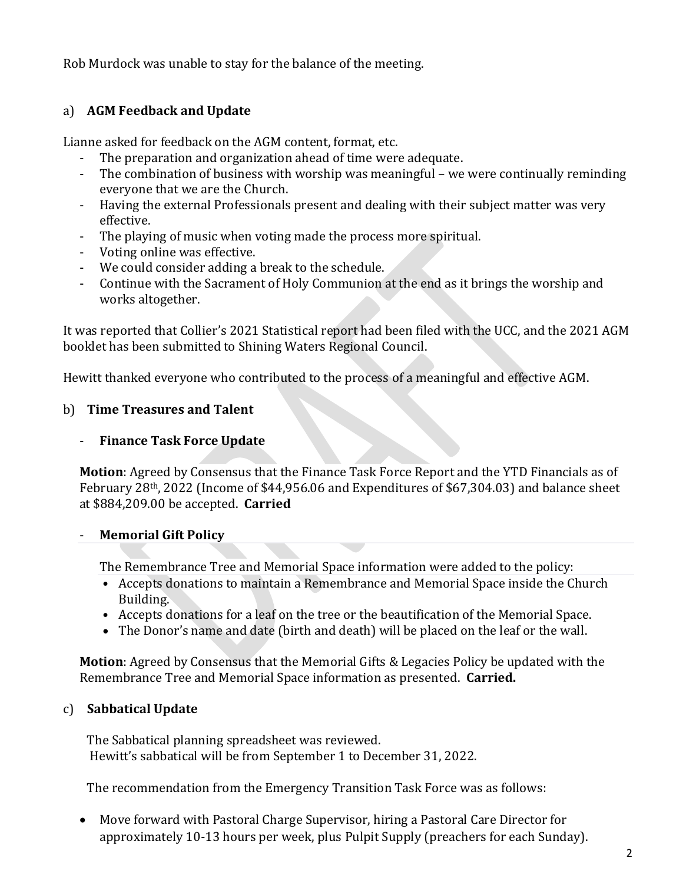Rob Murdock was unable to stay for the balance of the meeting.

# a) **AGM Feedback and Update**

Lianne asked for feedback on the AGM content, format, etc.

- The preparation and organization ahead of time were adequate.
- The combination of business with worship was meaningful we were continually reminding everyone that we are the Church.
- Having the external Professionals present and dealing with their subject matter was very effective.
- The playing of music when voting made the process more spiritual.
- Voting online was effective.
- We could consider adding a break to the schedule.
- Continue with the Sacrament of Holy Communion at the end as it brings the worship and works altogether.

It was reported that Collier's 2021 Statistical report had been filed with the UCC, and the 2021 AGM booklet has been submitted to Shining Waters Regional Council.

Hewitt thanked everyone who contributed to the process of a meaningful and effective AGM.

# b) **Time Treasures and Talent**

# - **Finance Task Force Update**

**Motion**: Agreed by Consensus that the Finance Task Force Report and the YTD Financials as of February 28th, 2022 (Income of \$44,956.06 and Expenditures of \$67,304.03) and balance sheet at \$884,209.00 be accepted. **Carried**

### - **Memorial Gift Policy**

The Remembrance Tree and Memorial Space information were added to the policy:

- Accepts donations to maintain a Remembrance and Memorial Space inside the Church Building.
- Accepts donations for a leaf on the tree or the beautification of the Memorial Space.
- The Donor's name and date (birth and death) will be placed on the leaf or the wall.

**Motion**: Agreed by Consensus that the Memorial Gifts & Legacies Policy be updated with the Remembrance Tree and Memorial Space information as presented. **Carried.**

# c) **Sabbatical Update**

The Sabbatical planning spreadsheet was reviewed. Hewitt's sabbatical will be from September 1 to December 31, 2022.

The recommendation from the Emergency Transition Task Force was as follows:

• Move forward with Pastoral Charge Supervisor, hiring a Pastoral Care Director for approximately 10-13 hours per week, plus Pulpit Supply (preachers for each Sunday).